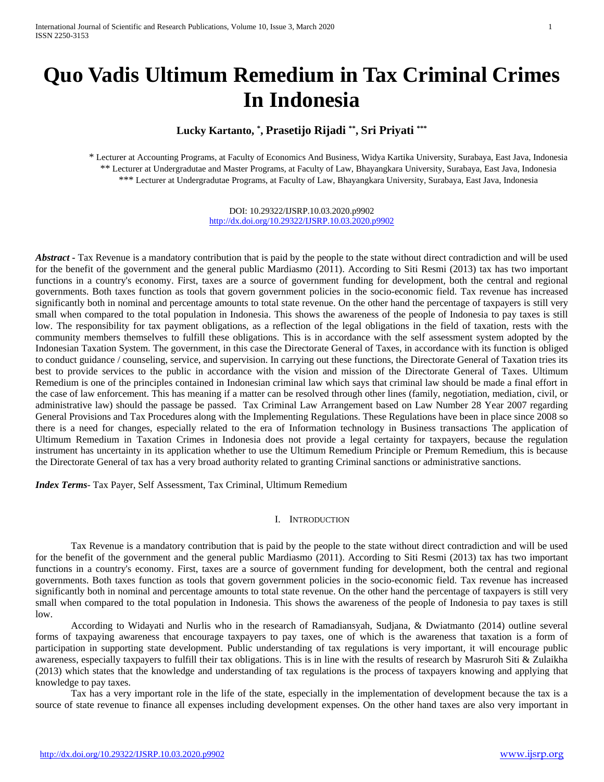# **Quo Vadis Ultimum Remedium in Tax Criminal Crimes In Indonesia**

# **Lucky Kartanto, \* , Prasetijo Rijadi \*\* , Sri Priyati \*\*\***

\* Lecturer at Accounting Programs, at Faculty of Economics And Business, Widya Kartika University, Surabaya, East Java, Indonesia \*\* Lecturer at Undergradutae and Master Programs, at Faculty of Law, Bhayangkara University, Surabaya, East Java, Indonesia \*\*\* Lecturer at Undergradutae Programs, at Faculty of Law, Bhayangkara University, Surabaya, East Java, Indonesia

> DOI: 10.29322/IJSRP.10.03.2020.p9902 <http://dx.doi.org/10.29322/IJSRP.10.03.2020.p9902>

*Abstract* **-** Tax Revenue is a mandatory contribution that is paid by the people to the state without direct contradiction and will be used for the benefit of the government and the general public Mardiasmo (2011). According to Siti Resmi (2013) tax has two important functions in a country's economy. First, taxes are a source of government funding for development, both the central and regional governments. Both taxes function as tools that govern government policies in the socio-economic field. Tax revenue has increased significantly both in nominal and percentage amounts to total state revenue. On the other hand the percentage of taxpayers is still very small when compared to the total population in Indonesia. This shows the awareness of the people of Indonesia to pay taxes is still low. The responsibility for tax payment obligations, as a reflection of the legal obligations in the field of taxation, rests with the community members themselves to fulfill these obligations. This is in accordance with the self assessment system adopted by the Indonesian Taxation System. The government, in this case the Directorate General of Taxes, in accordance with its function is obliged to conduct guidance / counseling, service, and supervision. In carrying out these functions, the Directorate General of Taxation tries its best to provide services to the public in accordance with the vision and mission of the Directorate General of Taxes. Ultimum Remedium is one of the principles contained in Indonesian criminal law which says that criminal law should be made a final effort in the case of law enforcement. This has meaning if a matter can be resolved through other lines (family, negotiation, mediation, civil, or administrative law) should the passage be passed. Tax Criminal Law Arrangement based on Law Number 28 Year 2007 regarding General Provisions and Tax Procedures along with the Implementing Regulations. These Regulations have been in place since 2008 so there is a need for changes, especially related to the era of Information technology in Business transactions The application of Ultimum Remedium in Taxation Crimes in Indonesia does not provide a legal certainty for taxpayers, because the regulation instrument has uncertainty in its application whether to use the Ultimum Remedium Principle or Premum Remedium, this is because the Directorate General of tax has a very broad authority related to granting Criminal sanctions or administrative sanctions.

*Index Terms*- Tax Payer, Self Assessment, Tax Criminal, Ultimum Remedium

#### I. INTRODUCTION

Tax Revenue is a mandatory contribution that is paid by the people to the state without direct contradiction and will be used for the benefit of the government and the general public Mardiasmo (2011). According to Siti Resmi (2013) tax has two important functions in a country's economy. First, taxes are a source of government funding for development, both the central and regional governments. Both taxes function as tools that govern government policies in the socio-economic field. Tax revenue has increased significantly both in nominal and percentage amounts to total state revenue. On the other hand the percentage of taxpayers is still very small when compared to the total population in Indonesia. This shows the awareness of the people of Indonesia to pay taxes is still low.

According to Widayati and Nurlis who in the research of Ramadiansyah, Sudjana, & Dwiatmanto (2014) outline several forms of taxpaying awareness that encourage taxpayers to pay taxes, one of which is the awareness that taxation is a form of participation in supporting state development. Public understanding of tax regulations is very important, it will encourage public awareness, especially taxpayers to fulfill their tax obligations. This is in line with the results of research by Masruroh Siti & Zulaikha (2013) which states that the knowledge and understanding of tax regulations is the process of taxpayers knowing and applying that knowledge to pay taxes.

Tax has a very important role in the life of the state, especially in the implementation of development because the tax is a source of state revenue to finance all expenses including development expenses. On the other hand taxes are also very important in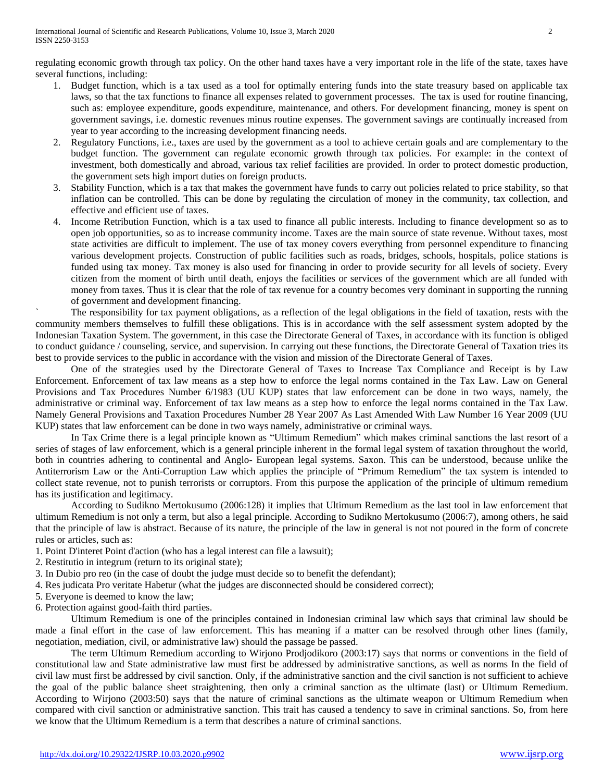regulating economic growth through tax policy. On the other hand taxes have a very important role in the life of the state, taxes have several functions, including:

- 1. Budget function, which is a tax used as a tool for optimally entering funds into the state treasury based on applicable tax laws, so that the tax functions to finance all expenses related to government processes. The tax is used for routine financing, such as: employee expenditure, goods expenditure, maintenance, and others. For development financing, money is spent on government savings, i.e. domestic revenues minus routine expenses. The government savings are continually increased from year to year according to the increasing development financing needs.
- 2. Regulatory Functions, i.e., taxes are used by the government as a tool to achieve certain goals and are complementary to the budget function. The government can regulate economic growth through tax policies. For example: in the context of investment, both domestically and abroad, various tax relief facilities are provided. In order to protect domestic production, the government sets high import duties on foreign products.
- 3. Stability Function, which is a tax that makes the government have funds to carry out policies related to price stability, so that inflation can be controlled. This can be done by regulating the circulation of money in the community, tax collection, and effective and efficient use of taxes.
- 4. Income Retribution Function, which is a tax used to finance all public interests. Including to finance development so as to open job opportunities, so as to increase community income. Taxes are the main source of state revenue. Without taxes, most state activities are difficult to implement. The use of tax money covers everything from personnel expenditure to financing various development projects. Construction of public facilities such as roads, bridges, schools, hospitals, police stations is funded using tax money. Tax money is also used for financing in order to provide security for all levels of society. Every citizen from the moment of birth until death, enjoys the facilities or services of the government which are all funded with money from taxes. Thus it is clear that the role of tax revenue for a country becomes very dominant in supporting the running of government and development financing.

` The responsibility for tax payment obligations, as a reflection of the legal obligations in the field of taxation, rests with the community members themselves to fulfill these obligations. This is in accordance with the self assessment system adopted by the Indonesian Taxation System. The government, in this case the Directorate General of Taxes, in accordance with its function is obliged to conduct guidance / counseling, service, and supervision. In carrying out these functions, the Directorate General of Taxation tries its best to provide services to the public in accordance with the vision and mission of the Directorate General of Taxes.

One of the strategies used by the Directorate General of Taxes to Increase Tax Compliance and Receipt is by Law Enforcement. Enforcement of tax law means as a step how to enforce the legal norms contained in the Tax Law. Law on General Provisions and Tax Procedures Number 6/1983 (UU KUP) states that law enforcement can be done in two ways, namely, the administrative or criminal way. Enforcement of tax law means as a step how to enforce the legal norms contained in the Tax Law. Namely General Provisions and Taxation Procedures Number 28 Year 2007 As Last Amended With Law Number 16 Year 2009 (UU KUP) states that law enforcement can be done in two ways namely, administrative or criminal ways.

In Tax Crime there is a legal principle known as "Ultimum Remedium" which makes criminal sanctions the last resort of a series of stages of law enforcement, which is a general principle inherent in the formal legal system of taxation throughout the world, both in countries adhering to continental and Anglo- European legal systems. Saxon. This can be understood, because unlike the Antiterrorism Law or the Anti-Corruption Law which applies the principle of "Primum Remedium" the tax system is intended to collect state revenue, not to punish terrorists or corruptors. From this purpose the application of the principle of ultimum remedium has its justification and legitimacy.

According to Sudikno Mertokusumo (2006:128) it implies that Ultimum Remedium as the last tool in law enforcement that ultimum Remedium is not only a term, but also a legal principle. According to Sudikno Mertokusumo (2006:7), among others, he said that the principle of law is abstract. Because of its nature, the principle of the law in general is not not poured in the form of concrete rules or articles, such as:

- 1. Point D'interet Point d'action (who has a legal interest can file a lawsuit);
- 2. Restitutio in integrum (return to its original state);
- 3. In Dubio pro reo (in the case of doubt the judge must decide so to benefit the defendant);
- 4. Res judicata Pro veritate Habetur (what the judges are disconnected should be considered correct);
- 5. Everyone is deemed to know the law;
- 6. Protection against good-faith third parties.

Ultimum Remedium is one of the principles contained in Indonesian criminal law which says that criminal law should be made a final effort in the case of law enforcement. This has meaning if a matter can be resolved through other lines (family, negotiation, mediation, civil, or administrative law) should the passage be passed.

The term Ultimum Remedium according to Wirjono Prodjodikoro (2003:17) says that norms or conventions in the field of constitutional law and State administrative law must first be addressed by administrative sanctions, as well as norms In the field of civil law must first be addressed by civil sanction. Only, if the administrative sanction and the civil sanction is not sufficient to achieve the goal of the public balance sheet straightening, then only a criminal sanction as the ultimate (last) or Ultimum Remedium. According to Wirjono (2003:50) says that the nature of criminal sanctions as the ultimate weapon or Ultimum Remedium when compared with civil sanction or administrative sanction. This trait has caused a tendency to save in criminal sanctions. So, from here we know that the Ultimum Remedium is a term that describes a nature of criminal sanctions.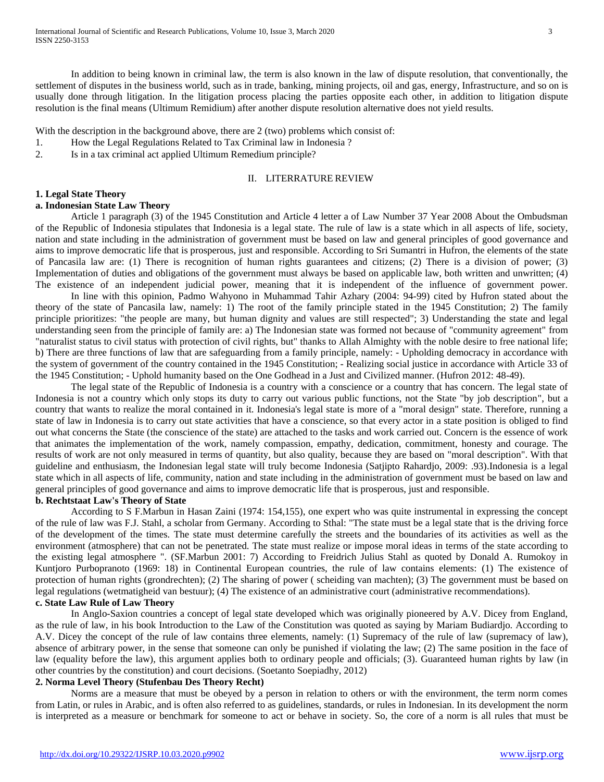In addition to being known in criminal law, the term is also known in the law of dispute resolution, that conventionally, the settlement of disputes in the business world, such as in trade, banking, mining projects, oil and gas, energy, Infrastructure, and so on is usually done through litigation. In the litigation process placing the parties opposite each other, in addition to litigation dispute resolution is the final means (Ultimum Remidium) after another dispute resolution alternative does not yield results.

With the description in the background above, there are 2 (two) problems which consist of:

1. How the Legal Regulations Related to Tax Criminal law in Indonesia ?

2. Is in a tax criminal act applied Ultimum Remedium principle?

#### II. LITERRATURE REVIEW

#### **1. Legal State Theory**

# **a. Indonesian State Law Theory**

Article 1 paragraph (3) of the 1945 Constitution and Article 4 letter a of Law Number 37 Year 2008 About the Ombudsman of the Republic of Indonesia stipulates that Indonesia is a legal state. The rule of law is a state which in all aspects of life, society, nation and state including in the administration of government must be based on law and general principles of good governance and aims to improve democratic life that is prosperous, just and responsible. According to Sri Sumantri in Hufron, the elements of the state of Pancasila law are: (1) There is recognition of human rights guarantees and citizens; (2) There is a division of power; (3) Implementation of duties and obligations of the government must always be based on applicable law, both written and unwritten; (4) The existence of an independent judicial power, meaning that it is independent of the influence of government power.

In line with this opinion, Padmo Wahyono in Muhammad Tahir Azhary (2004: 94-99) cited by Hufron stated about the theory of the state of Pancasila law, namely: 1) The root of the family principle stated in the 1945 Constitution; 2) The family principle prioritizes: "the people are many, but human dignity and values are still respected"; 3) Understanding the state and legal understanding seen from the principle of family are: a) The Indonesian state was formed not because of "community agreement" from "naturalist status to civil status with protection of civil rights, but" thanks to Allah Almighty with the noble desire to free national life; b) There are three functions of law that are safeguarding from a family principle, namely: - Upholding democracy in accordance with the system of government of the country contained in the 1945 Constitution; - Realizing social justice in accordance with Article 33 of the 1945 Constitution; - Uphold humanity based on the One Godhead in a Just and Civilized manner. (Hufron 2012: 48-49).

The legal state of the Republic of Indonesia is a country with a conscience or a country that has concern. The legal state of Indonesia is not a country which only stops its duty to carry out various public functions, not the State "by job description", but a country that wants to realize the moral contained in it. Indonesia's legal state is more of a "moral design" state. Therefore, running a state of law in Indonesia is to carry out state activities that have a conscience, so that every actor in a state position is obliged to find out what concerns the State (the conscience of the state) are attached to the tasks and work carried out. Concern is the essence of work that animates the implementation of the work, namely compassion, empathy, dedication, commitment, honesty and courage. The results of work are not only measured in terms of quantity, but also quality, because they are based on "moral description". With that guideline and enthusiasm, the Indonesian legal state will truly become Indonesia (Satjipto Rahardjo, 2009: .93).Indonesia is a legal state which in all aspects of life, community, nation and state including in the administration of government must be based on law and general principles of good governance and aims to improve democratic life that is prosperous, just and responsible.

# **b. Rechtstaat Law's Theory of State**

According to S F.Marbun in Hasan Zaini (1974: 154,155), one expert who was quite instrumental in expressing the concept of the rule of law was F.J. Stahl, a scholar from Germany. According to Sthal: "The state must be a legal state that is the driving force of the development of the times. The state must determine carefully the streets and the boundaries of its activities as well as the environment (atmosphere) that can not be penetrated. The state must realize or impose moral ideas in terms of the state according to the existing legal atmosphere ". (SF.Marbun 2001: 7) According to Freidrich Julius Stahl as quoted by Donald A. Rumokoy in Kuntjoro Purbopranoto (1969: 18) in Continental European countries, the rule of law contains elements: (1) The existence of protection of human rights (grondrechten); (2) The sharing of power ( scheiding van machten); (3) The government must be based on legal regulations (wetmatigheid van bestuur); (4) The existence of an administrative court (administrative recommendations). **c. State Law Rule of Law Theory**

In Anglo-Saxion countries a concept of legal state developed which was originally pioneered by A.V. Dicey from England, as the rule of law, in his book Introduction to the Law of the Constitution was quoted as saying by Mariam Budiardjo. According to A.V. Dicey the concept of the rule of law contains three elements, namely: (1) Supremacy of the rule of law (supremacy of law), absence of arbitrary power, in the sense that someone can only be punished if violating the law; (2) The same position in the face of law (equality before the law), this argument applies both to ordinary people and officials; (3). Guaranteed human rights by law (in other countries by the constitution) and court decisions. (Soetanto Soepiadhy, 2012)

# **2. Norma Level Theory (Stufenbau Des Theory Recht)**

Norms are a measure that must be obeyed by a person in relation to others or with the environment, the term norm comes from Latin, or rules in Arabic, and is often also referred to as guidelines, standards, or rules in Indonesian. In its development the norm is interpreted as a measure or benchmark for someone to act or behave in society. So, the core of a norm is all rules that must be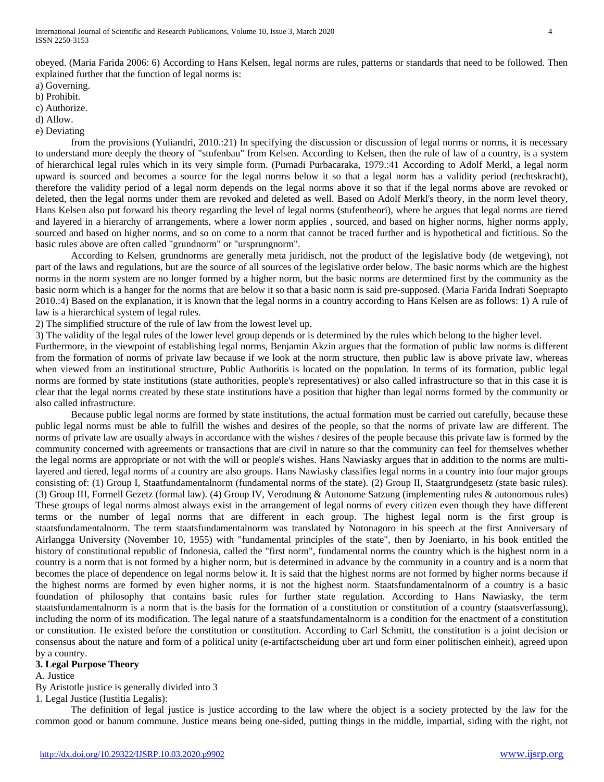obeyed. (Maria Farida 2006: 6) According to Hans Kelsen, legal norms are rules, patterns or standards that need to be followed. Then explained further that the function of legal norms is:

a) Governing.

b) Prohibit.

c) Authorize.

d) Allow.

e) Deviating

from the provisions (Yuliandri, 2010.:21) In specifying the discussion or discussion of legal norms or norms, it is necessary to understand more deeply the theory of "stufenbau" from Kelsen. According to Kelsen, then the rule of law of a country, is a system of hierarchical legal rules which in its very simple form. (Purnadi Purbacaraka, 1979.:41 According to Adolf Merkl, a legal norm upward is sourced and becomes a source for the legal norms below it so that a legal norm has a validity period (rechtskracht), therefore the validity period of a legal norm depends on the legal norms above it so that if the legal norms above are revoked or deleted, then the legal norms under them are revoked and deleted as well. Based on Adolf Merkl's theory, in the norm level theory, Hans Kelsen also put forward his theory regarding the level of legal norms (stufentheori), where he argues that legal norms are tiered and layered in a hierarchy of arrangements, where a lower norm applies , sourced, and based on higher norms, higher norms apply, sourced and based on higher norms, and so on come to a norm that cannot be traced further and is hypothetical and fictitious. So the basic rules above are often called "grundnorm" or "ursprungnorm".

According to Kelsen, grundnorms are generally meta juridisch, not the product of the legislative body (de wetgeving), not part of the laws and regulations, but are the source of all sources of the legislative order below. The basic norms which are the highest norms in the norm system are no longer formed by a higher norm, but the basic norms are determined first by the community as the basic norm which is a hanger for the norms that are below it so that a basic norm is said pre-supposed. (Maria Farida Indrati Soeprapto 2010.:4) Based on the explanation, it is known that the legal norms in a country according to Hans Kelsen are as follows: 1) A rule of law is a hierarchical system of legal rules.

2) The simplified structure of the rule of law from the lowest level up.

3) The validity of the legal rules of the lower level group depends or is determined by the rules which belong to the higher level.

Furthermore, in the viewpoint of establishing legal norms, Benjamin Akzin argues that the formation of public law norms is different from the formation of norms of private law because if we look at the norm structure, then public law is above private law, whereas when viewed from an institutional structure, Public Authoritis is located on the population. In terms of its formation, public legal norms are formed by state institutions (state authorities, people's representatives) or also called infrastructure so that in this case it is clear that the legal norms created by these state institutions have a position that higher than legal norms formed by the community or also called infrastructure.

Because public legal norms are formed by state institutions, the actual formation must be carried out carefully, because these public legal norms must be able to fulfill the wishes and desires of the people, so that the norms of private law are different. The norms of private law are usually always in accordance with the wishes / desires of the people because this private law is formed by the community concerned with agreements or transactions that are civil in nature so that the community can feel for themselves whether the legal norms are appropriate or not with the will or people's wishes. Hans Nawiasky argues that in addition to the norms are multilayered and tiered, legal norms of a country are also groups. Hans Nawiasky classifies legal norms in a country into four major groups consisting of: (1) Group I, Staatfundamentalnorm (fundamental norms of the state). (2) Group II, Staatgrundgesetz (state basic rules). (3) Group III, Formell Gezetz (formal law). (4) Group IV, Verodnung & Autonome Satzung (implementing rules & autonomous rules) These groups of legal norms almost always exist in the arrangement of legal norms of every citizen even though they have different terms or the number of legal norms that are different in each group. The highest legal norm is the first group is staatsfundamentalnorm. The term staatsfundamentalnorm was translated by Notonagoro in his speech at the first Anniversary of Airlangga University (November 10, 1955) with "fundamental principles of the state", then by Joeniarto, in his book entitled the history of constitutional republic of Indonesia, called the "first norm", fundamental norms the country which is the highest norm in a country is a norm that is not formed by a higher norm, but is determined in advance by the community in a country and is a norm that becomes the place of dependence on legal norms below it. It is said that the highest norms are not formed by higher norms because if the highest norms are formed by even higher norms, it is not the highest norm. Staatsfundamentalnorm of a country is a basic foundation of philosophy that contains basic rules for further state regulation. According to Hans Nawiasky, the term staatsfundamentalnorm is a norm that is the basis for the formation of a constitution or constitution of a country (staatsverfassung), including the norm of its modification. The legal nature of a staatsfundamentalnorm is a condition for the enactment of a constitution or constitution. He existed before the constitution or constitution. According to Carl Schmitt, the constitution is a joint decision or consensus about the nature and form of a political unity (e-artifactscheidung uber art und form einer politischen einheit), agreed upon by a country.

#### **3. Legal Purpose Theory**

A. Justice

By Aristotle justice is generally divided into 3

1. Legal Justice (Iustitia Legalis):

The definition of legal justice is justice according to the law where the object is a society protected by the law for the common good or banum commune. Justice means being one-sided, putting things in the middle, impartial, siding with the right, not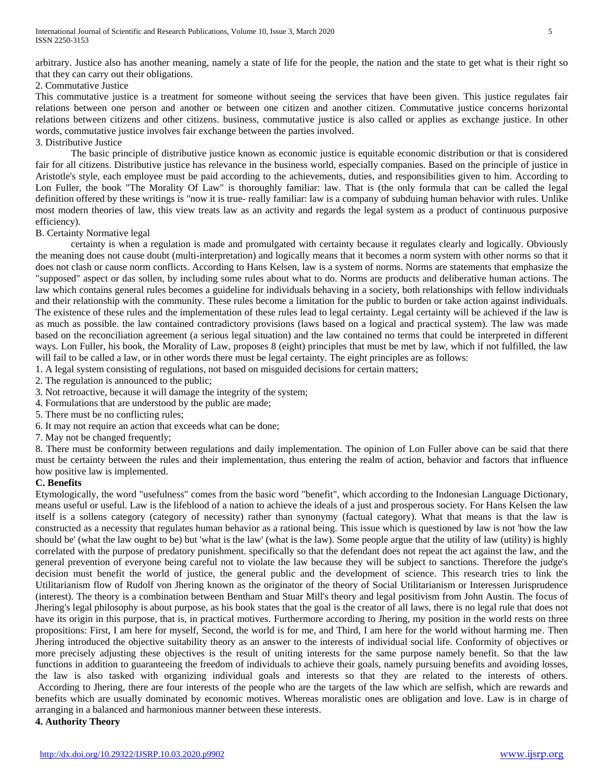arbitrary. Justice also has another meaning, namely a state of life for the people, the nation and the state to get what is their right so that they can carry out their obligations.

#### 2. Commutative Justice

This commutative justice is a treatment for someone without seeing the services that have been given. This justice regulates fair relations between one person and another or between one citizen and another citizen. Commutative justice concerns horizontal relations between citizens and other citizens. business, commutative justice is also called or applies as exchange justice. In other words, commutative justice involves fair exchange between the parties involved.

3. Distributive Justice

The basic principle of distributive justice known as economic justice is equitable economic distribution or that is considered fair for all citizens. Distributive justice has relevance in the business world, especially companies. Based on the principle of justice in Aristotle's style, each employee must be paid according to the achievements, duties, and responsibilities given to him. According to Lon Fuller, the book "The Morality Of Law" is thoroughly familiar: law. That is (the only formula that can be called the legal definition offered by these writings is "now it is true- really familiar: law is a company of subduing human behavior with rules. Unlike most modern theories of law, this view treats law as an activity and regards the legal system as a product of continuous purposive efficiency).

#### B. Certainty Normative legal

certainty is when a regulation is made and promulgated with certainty because it regulates clearly and logically. Obviously the meaning does not cause doubt (multi-interpretation) and logically means that it becomes a norm system with other norms so that it does not clash or cause norm conflicts. According to Hans Kelsen, law is a system of norms. Norms are statements that emphasize the "supposed" aspect or das sollen, by including some rules about what to do. Norms are products and deliberative human actions. The law which contains general rules becomes a guideline for individuals behaving in a society, both relationships with fellow individuals and their relationship with the community. These rules become a limitation for the public to burden or take action against individuals. The existence of these rules and the implementation of these rules lead to legal certainty. Legal certainty will be achieved if the law is as much as possible. the law contained contradictory provisions (laws based on a logical and practical system). The law was made based on the reconciliation agreement (a serious legal situation) and the law contained no terms that could be interpreted in different ways. Lon Fuller, his book, the Morality of Law, proposes 8 (eight) principles that must be met by law, which if not fulfilled, the law will fail to be called a law, or in other words there must be legal certainty. The eight principles are as follows:

1. A legal system consisting of regulations, not based on misguided decisions for certain matters;

2. The regulation is announced to the public;

3. Not retroactive, because it will damage the integrity of the system;

4. Formulations that are understood by the public are made;

- 5. There must be no conflicting rules;
- 6. It may not require an action that exceeds what can be done;

7. May not be changed frequently;

8. There must be conformity between regulations and daily implementation. The opinion of Lon Fuller above can be said that there must be certainty between the rules and their implementation, thus entering the realm of action, behavior and factors that influence how positive law is implemented.

# **C. Benefits**

Etymologically, the word "usefulness" comes from the basic word "benefit", which according to the Indonesian Language Dictionary, means useful or useful. Law is the lifeblood of a nation to achieve the ideals of a just and prosperous society. For Hans Kelsen the law itself is a sollens category (category of necessity) rather than synonymy (factual category). What that means is that the law is constructed as a necessity that regulates human behavior as a rational being. This issue which is questioned by law is not 'how the law should be' (what the law ought to be) but 'what is the law' (what is the law). Some people argue that the utility of law (utility) is highly correlated with the purpose of predatory punishment. specifically so that the defendant does not repeat the act against the law, and the general prevention of everyone being careful not to violate the law because they will be subject to sanctions. Therefore the judge's decision must benefit the world of justice, the general public and the development of science. This research tries to link the Utilitarianism flow of Rudolf von Jhering known as the originator of the theory of Social Utilitarianism or Interessen Jurisprudence (interest). The theory is a combination between Bentham and Stuar Mill's theory and legal positivism from John Austin. The focus of Jhering's legal philosophy is about purpose, as his book states that the goal is the creator of all laws, there is no legal rule that does not have its origin in this purpose, that is, in practical motives. Furthermore according to Jhering, my position in the world rests on three propositions: First, I am here for myself, Second, the world is for me, and Third, I am here for the world without harming me. Then Jhering introduced the objective suitability theory as an answer to the interests of individual social life. Conformity of objectives or more precisely adjusting these objectives is the result of uniting interests for the same purpose namely benefit. So that the law functions in addition to guaranteeing the freedom of individuals to achieve their goals, namely pursuing benefits and avoiding losses, the law is also tasked with organizing individual goals and interests so that they are related to the interests of others. According to Jhering, there are four interests of the people who are the targets of the law which are selfish, which are rewards and benefits which are usually dominated by economic motives. Whereas moralistic ones are obligation and love. Law is in charge of arranging in a balanced and harmonious manner between these interests.

#### **4. Authority Theory**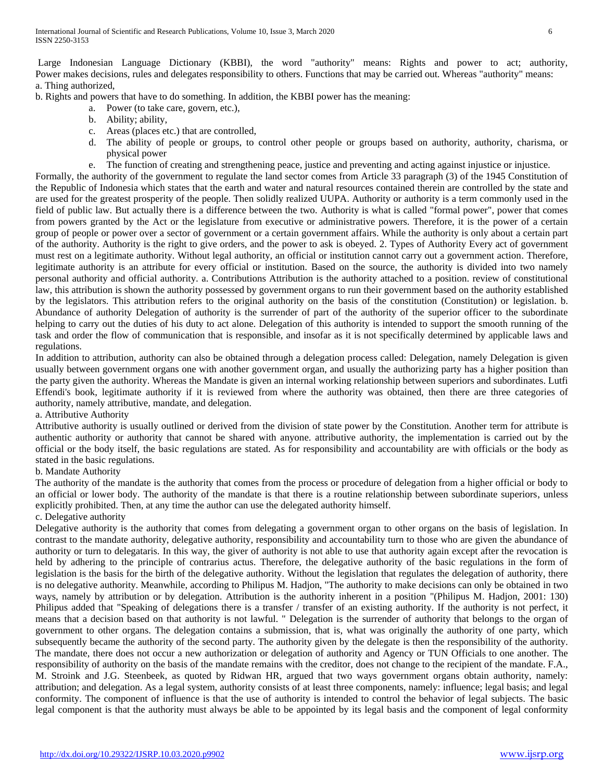Large Indonesian Language Dictionary (KBBI), the word "authority" means: Rights and power to act; authority, Power makes decisions, rules and delegates responsibility to others. Functions that may be carried out. Whereas "authority" means: a. Thing authorized,

b. Rights and powers that have to do something. In addition, the KBBI power has the meaning:

- a. Power (to take care, govern, etc.),
	- b. Ability; ability,
	- c. Areas (places etc.) that are controlled,
	- d. The ability of people or groups, to control other people or groups based on authority, authority, charisma, or physical power
	- e. The function of creating and strengthening peace, justice and preventing and acting against injustice or injustice.

Formally, the authority of the government to regulate the land sector comes from Article 33 paragraph (3) of the 1945 Constitution of the Republic of Indonesia which states that the earth and water and natural resources contained therein are controlled by the state and are used for the greatest prosperity of the people. Then solidly realized UUPA. Authority or authority is a term commonly used in the field of public law. But actually there is a difference between the two. Authority is what is called "formal power", power that comes from powers granted by the Act or the legislature from executive or administrative powers. Therefore, it is the power of a certain group of people or power over a sector of government or a certain government affairs. While the authority is only about a certain part of the authority. Authority is the right to give orders, and the power to ask is obeyed. 2. Types of Authority Every act of government must rest on a legitimate authority. Without legal authority, an official or institution cannot carry out a government action. Therefore, legitimate authority is an attribute for every official or institution. Based on the source, the authority is divided into two namely personal authority and official authority. a. Contributions Attribution is the authority attached to a position. review of constitutional law, this attribution is shown the authority possessed by government organs to run their government based on the authority established by the legislators. This attribution refers to the original authority on the basis of the constitution (Constitution) or legislation. b. Abundance of authority Delegation of authority is the surrender of part of the authority of the superior officer to the subordinate helping to carry out the duties of his duty to act alone. Delegation of this authority is intended to support the smooth running of the task and order the flow of communication that is responsible, and insofar as it is not specifically determined by applicable laws and regulations.

In addition to attribution, authority can also be obtained through a delegation process called: Delegation, namely Delegation is given usually between government organs one with another government organ, and usually the authorizing party has a higher position than the party given the authority. Whereas the Mandate is given an internal working relationship between superiors and subordinates. Lutfi Effendi's book, legitimate authority if it is reviewed from where the authority was obtained, then there are three categories of authority, namely attributive, mandate, and delegation.

a. Attributive Authority

Attributive authority is usually outlined or derived from the division of state power by the Constitution. Another term for attribute is authentic authority or authority that cannot be shared with anyone. attributive authority, the implementation is carried out by the official or the body itself, the basic regulations are stated. As for responsibility and accountability are with officials or the body as stated in the basic regulations.

#### b. Mandate Authority

The authority of the mandate is the authority that comes from the process or procedure of delegation from a higher official or body to an official or lower body. The authority of the mandate is that there is a routine relationship between subordinate superiors, unless explicitly prohibited. Then, at any time the author can use the delegated authority himself.

#### c. Delegative authority

Delegative authority is the authority that comes from delegating a government organ to other organs on the basis of legislation. In contrast to the mandate authority, delegative authority, responsibility and accountability turn to those who are given the abundance of authority or turn to delegataris. In this way, the giver of authority is not able to use that authority again except after the revocation is held by adhering to the principle of contrarius actus. Therefore, the delegative authority of the basic regulations in the form of legislation is the basis for the birth of the delegative authority. Without the legislation that regulates the delegation of authority, there is no delegative authority. Meanwhile, according to Philipus M. Hadjon, "The authority to make decisions can only be obtained in two ways, namely by attribution or by delegation. Attribution is the authority inherent in a position "(Philipus M. Hadjon, 2001: 130) Philipus added that "Speaking of delegations there is a transfer / transfer of an existing authority. If the authority is not perfect, it means that a decision based on that authority is not lawful. " Delegation is the surrender of authority that belongs to the organ of government to other organs. The delegation contains a submission, that is, what was originally the authority of one party, which subsequently became the authority of the second party. The authority given by the delegate is then the responsibility of the authority. The mandate, there does not occur a new authorization or delegation of authority and Agency or TUN Officials to one another. The responsibility of authority on the basis of the mandate remains with the creditor, does not change to the recipient of the mandate. F.A., M. Stroink and J.G. Steenbeek, as quoted by Ridwan HR, argued that two ways government organs obtain authority, namely: attribution; and delegation. As a legal system, authority consists of at least three components, namely: influence; legal basis; and legal conformity. The component of influence is that the use of authority is intended to control the behavior of legal subjects. The basic legal component is that the authority must always be able to be appointed by its legal basis and the component of legal conformity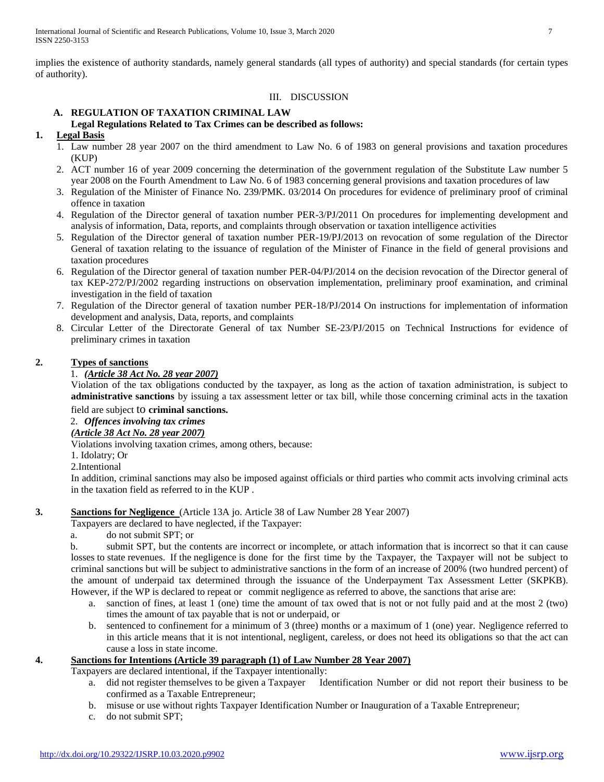implies the existence of authority standards, namely general standards (all types of authority) and special standards (for certain types of authority).

# III. DISCUSSION

# **A. REGULATION OF TAXATION CRIMINAL LAW Legal Regulations Related to Tax Crimes can be described as follows:**

# **1. Legal Basis**

- 1. Law number 28 year 2007 on the third amendment to Law No. 6 of 1983 on general provisions and taxation procedures (KUP)
- 2. ACT number 16 of year 2009 concerning the determination of the government regulation of the Substitute Law number 5 year 2008 on the Fourth Amendment to Law No. 6 of 1983 concerning general provisions and taxation procedures of law
- 3. Regulation of the Minister of Finance No. 239/PMK. 03/2014 On procedures for evidence of preliminary proof of criminal offence in taxation
- 4. Regulation of the Director general of taxation number PER-3/PJ/2011 On procedures for implementing development and analysis of information, Data, reports, and complaints through observation or taxation intelligence activities
- 5. Regulation of the Director general of taxation number PER-19/PJ/2013 on revocation of some regulation of the Director General of taxation relating to the issuance of regulation of the Minister of Finance in the field of general provisions and taxation procedures
- 6. Regulation of the Director general of taxation number PER-04/PJ/2014 on the decision revocation of the Director general of tax KEP-272/PJ/2002 regarding instructions on observation implementation, preliminary proof examination, and criminal investigation in the field of taxation
- 7. Regulation of the Director general of taxation number PER-18/PJ/2014 On instructions for implementation of information development and analysis, Data, reports, and complaints
- 8. Circular Letter of the Directorate General of tax Number SE-23/PJ/2015 on Technical Instructions for evidence of preliminary crimes in taxation

# **2. Types of sanctions**

# 1. *(Article 38 Act No. 28 year 2007)*

Violation of the tax obligations conducted by the taxpayer, as long as the action of taxation administration, is subject to **administrative sanctions** by issuing a tax assessment letter or tax bill, while those concerning criminal acts in the taxation field are subject to **criminal sanctions.**

#### 2. *Offences involving tax crimes (Article 38 Act No. 28 year 2007)*

Violations involving taxation crimes, among others, because:

- 1. Idolatry; Or
- 2.Intentional

In addition, criminal sanctions may also be imposed against officials or third parties who commit acts involving criminal acts in the taxation field as referred to in the KUP .

# **3. Sanctions for Negligence** (Article 13A jo. Article 38 of Law Number 28 Year 2007)

Taxpayers are declared to have neglected, if the Taxpayer:

a. do not submit SPT; or

b. submit SPT, but the contents are incorrect or incomplete, or attach information that is incorrect so that it can cause losses to state revenues. If the negligence is done for the first time by the Taxpayer, the Taxpayer will not be subject to criminal sanctions but will be subject to administrative sanctions in the form of an increase of 200% (two hundred percent) of the amount of underpaid tax determined through the issuance of the Underpayment Tax Assessment Letter (SKPKB). However, if the WP is declared to repeat or commit negligence as referred to above, the sanctions that arise are:

- a. sanction of fines, at least 1 (one) time the amount of tax owed that is not or not fully paid and at the most 2 (two) times the amount of tax payable that is not or underpaid, or
- b. sentenced to confinement for a minimum of 3 (three) months or a maximum of 1 (one) year. Negligence referred to in this article means that it is not intentional, negligent, careless, or does not heed its obligations so that the act can cause a loss in state income.

# **4. Sanctions for Intentions (Article 39 paragraph (1) of Law Number 28 Year 2007)**

Taxpayers are declared intentional, if the Taxpayer intentionally:

- a. did not register themselves to be given a Taxpayer Identification Number or did not report their business to be confirmed as a Taxable Entrepreneur;
- b. misuse or use without rights Taxpayer Identification Number or Inauguration of a Taxable Entrepreneur;
- c. do not submit SPT;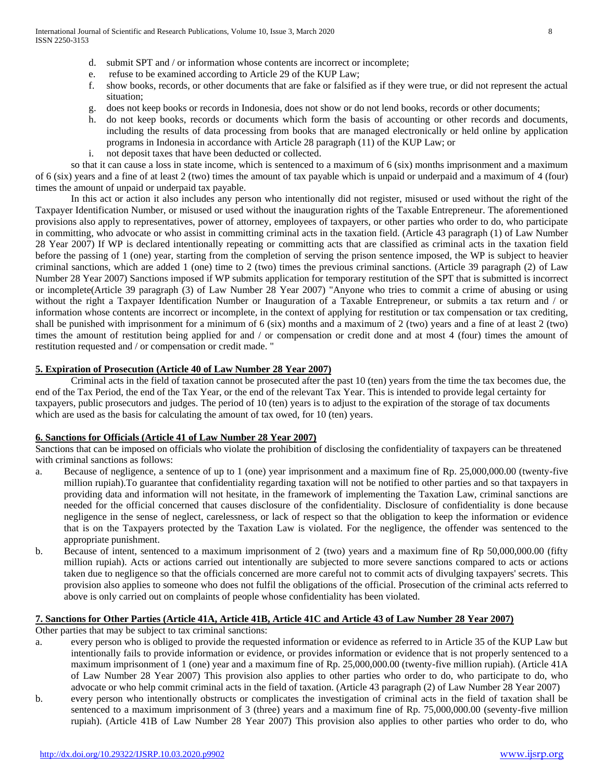- d. submit SPT and / or information whose contents are incorrect or incomplete;
- e. refuse to be examined according to Article 29 of the KUP Law;
- f. show books, records, or other documents that are fake or falsified as if they were true, or did not represent the actual situation;
- g. does not keep books or records in Indonesia, does not show or do not lend books, records or other documents;
- h. do not keep books, records or documents which form the basis of accounting or other records and documents, including the results of data processing from books that are managed electronically or held online by application programs in Indonesia in accordance with Article 28 paragraph (11) of the KUP Law; or
- i. not deposit taxes that have been deducted or collected.

so that it can cause a loss in state income, which is sentenced to a maximum of 6 (six) months imprisonment and a maximum of 6 (six) years and a fine of at least 2 (two) times the amount of tax payable which is unpaid or underpaid and a maximum of 4 (four) times the amount of unpaid or underpaid tax payable.

In this act or action it also includes any person who intentionally did not register, misused or used without the right of the Taxpayer Identification Number, or misused or used without the inauguration rights of the Taxable Entrepreneur. The aforementioned provisions also apply to representatives, power of attorney, employees of taxpayers, or other parties who order to do, who participate in committing, who advocate or who assist in committing criminal acts in the taxation field. (Article 43 paragraph (1) of Law Number 28 Year 2007) If WP is declared intentionally repeating or committing acts that are classified as criminal acts in the taxation field before the passing of 1 (one) year, starting from the completion of serving the prison sentence imposed, the WP is subject to heavier criminal sanctions, which are added 1 (one) time to 2 (two) times the previous criminal sanctions. (Article 39 paragraph (2) of Law Number 28 Year 2007) Sanctions imposed if WP submits application for temporary restitution of the SPT that is submitted is incorrect or incomplete(Article 39 paragraph (3) of Law Number 28 Year 2007) "Anyone who tries to commit a crime of abusing or using without the right a Taxpayer Identification Number or Inauguration of a Taxable Entrepreneur, or submits a tax return and / or information whose contents are incorrect or incomplete, in the context of applying for restitution or tax compensation or tax crediting, shall be punished with imprisonment for a minimum of 6 (six) months and a maximum of 2 (two) years and a fine of at least 2 (two) times the amount of restitution being applied for and / or compensation or credit done and at most 4 (four) times the amount of restitution requested and / or compensation or credit made. "

# **5. Expiration of Prosecution (Article 40 of Law Number 28 Year 2007)**

Criminal acts in the field of taxation cannot be prosecuted after the past 10 (ten) years from the time the tax becomes due, the end of the Tax Period, the end of the Tax Year, or the end of the relevant Tax Year. This is intended to provide legal certainty for taxpayers, public prosecutors and judges. The period of 10 (ten) years is to adjust to the expiration of the storage of tax documents which are used as the basis for calculating the amount of tax owed, for 10 (ten) years.

# **6. Sanctions for Officials (Article 41 of Law Number 28 Year 2007)**

Sanctions that can be imposed on officials who violate the prohibition of disclosing the confidentiality of taxpayers can be threatened with criminal sanctions as follows:

- a. Because of negligence, a sentence of up to 1 (one) year imprisonment and a maximum fine of Rp. 25,000,000.00 (twenty-five million rupiah).To guarantee that confidentiality regarding taxation will not be notified to other parties and so that taxpayers in providing data and information will not hesitate, in the framework of implementing the Taxation Law, criminal sanctions are needed for the official concerned that causes disclosure of the confidentiality. Disclosure of confidentiality is done because negligence in the sense of neglect, carelessness, or lack of respect so that the obligation to keep the information or evidence that is on the Taxpayers protected by the Taxation Law is violated. For the negligence, the offender was sentenced to the appropriate punishment.
- b. Because of intent, sentenced to a maximum imprisonment of 2 (two) years and a maximum fine of Rp 50,000,000.00 (fifty million rupiah). Acts or actions carried out intentionally are subjected to more severe sanctions compared to acts or actions taken due to negligence so that the officials concerned are more careful not to commit acts of divulging taxpayers' secrets. This provision also applies to someone who does not fulfil the obligations of the official. Prosecution of the criminal acts referred to above is only carried out on complaints of people whose confidentiality has been violated.

# **7. Sanctions for Other Parties (Article 41A, Article 41B, Article 41C and Article 43 of Law Number 28 Year 2007)**

Other parties that may be subject to tax criminal sanctions:

- a. every person who is obliged to provide the requested information or evidence as referred to in Article 35 of the KUP Law but intentionally fails to provide information or evidence, or provides information or evidence that is not properly sentenced to a maximum imprisonment of 1 (one) year and a maximum fine of Rp. 25,000,000.00 (twenty-five million rupiah). (Article 41A of Law Number 28 Year 2007) This provision also applies to other parties who order to do, who participate to do, who advocate or who help commit criminal acts in the field of taxation. (Article 43 paragraph (2) of Law Number 28 Year 2007)
- b. every person who intentionally obstructs or complicates the investigation of criminal acts in the field of taxation shall be sentenced to a maximum imprisonment of 3 (three) years and a maximum fine of Rp. 75,000,000.00 (seventy-five million rupiah). (Article 41B of Law Number 28 Year 2007) This provision also applies to other parties who order to do, who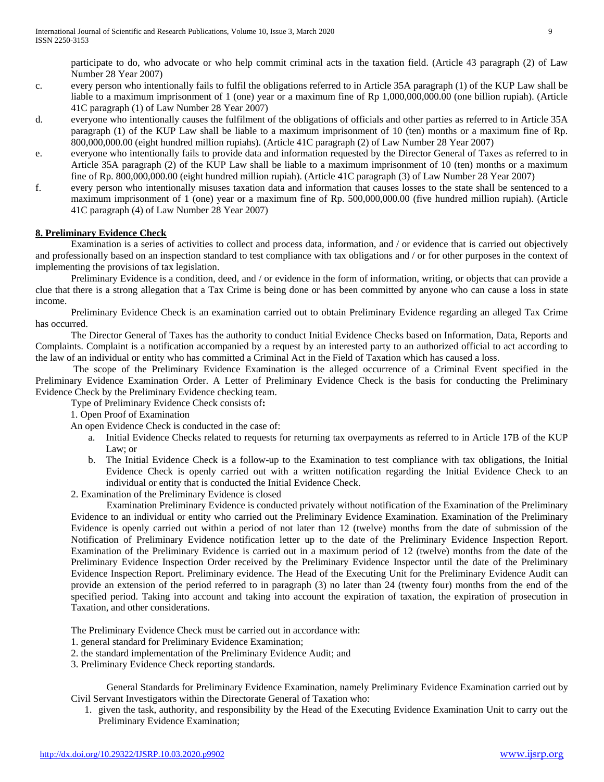participate to do, who advocate or who help commit criminal acts in the taxation field. (Article 43 paragraph (2) of Law Number 28 Year 2007)

- c. every person who intentionally fails to fulfil the obligations referred to in Article 35A paragraph (1) of the KUP Law shall be liable to a maximum imprisonment of 1 (one) year or a maximum fine of Rp 1,000,000,000.00 (one billion rupiah). (Article 41C paragraph (1) of Law Number 28 Year 2007)
- d. everyone who intentionally causes the fulfilment of the obligations of officials and other parties as referred to in Article 35A paragraph (1) of the KUP Law shall be liable to a maximum imprisonment of 10 (ten) months or a maximum fine of Rp. 800,000,000.00 (eight hundred million rupiahs). (Article 41C paragraph (2) of Law Number 28 Year 2007)
- e. everyone who intentionally fails to provide data and information requested by the Director General of Taxes as referred to in Article 35A paragraph (2) of the KUP Law shall be liable to a maximum imprisonment of 10 (ten) months or a maximum fine of Rp. 800,000,000.00 (eight hundred million rupiah). (Article 41C paragraph (3) of Law Number 28 Year 2007)
- f. every person who intentionally misuses taxation data and information that causes losses to the state shall be sentenced to a maximum imprisonment of 1 (one) year or a maximum fine of Rp. 500,000,000.00 (five hundred million rupiah). (Article 41C paragraph (4) of Law Number 28 Year 2007)

# **8. Preliminary Evidence Check**

Examination is a series of activities to collect and process data, information, and / or evidence that is carried out objectively and professionally based on an inspection standard to test compliance with tax obligations and / or for other purposes in the context of implementing the provisions of tax legislation.

Preliminary Evidence is a condition, deed, and / or evidence in the form of information, writing, or objects that can provide a clue that there is a strong allegation that a Tax Crime is being done or has been committed by anyone who can cause a loss in state income.

Preliminary Evidence Check is an examination carried out to obtain Preliminary Evidence regarding an alleged Tax Crime has occurred.

The Director General of Taxes has the authority to conduct Initial Evidence Checks based on Information, Data, Reports and Complaints. Complaint is a notification accompanied by a request by an interested party to an authorized official to act according to the law of an individual or entity who has committed a Criminal Act in the Field of Taxation which has caused a loss.

The scope of the Preliminary Evidence Examination is the alleged occurrence of a Criminal Event specified in the Preliminary Evidence Examination Order. A Letter of Preliminary Evidence Check is the basis for conducting the Preliminary Evidence Check by the Preliminary Evidence checking team.

Type of Preliminary Evidence Check consists of**:**

1. Open Proof of Examination

An open Evidence Check is conducted in the case of:

- a. Initial Evidence Checks related to requests for returning tax overpayments as referred to in Article 17B of the KUP Law; or
- b. The Initial Evidence Check is a follow-up to the Examination to test compliance with tax obligations, the Initial Evidence Check is openly carried out with a written notification regarding the Initial Evidence Check to an individual or entity that is conducted the Initial Evidence Check.
- 2. Examination of the Preliminary Evidence is closed

Examination Preliminary Evidence is conducted privately without notification of the Examination of the Preliminary Evidence to an individual or entity who carried out the Preliminary Evidence Examination. Examination of the Preliminary Evidence is openly carried out within a period of not later than 12 (twelve) months from the date of submission of the Notification of Preliminary Evidence notification letter up to the date of the Preliminary Evidence Inspection Report. Examination of the Preliminary Evidence is carried out in a maximum period of 12 (twelve) months from the date of the Preliminary Evidence Inspection Order received by the Preliminary Evidence Inspector until the date of the Preliminary Evidence Inspection Report. Preliminary evidence. The Head of the Executing Unit for the Preliminary Evidence Audit can provide an extension of the period referred to in paragraph (3) no later than 24 (twenty four) months from the end of the specified period. Taking into account and taking into account the expiration of taxation, the expiration of prosecution in Taxation, and other considerations.

The Preliminary Evidence Check must be carried out in accordance with:

- 1. general standard for Preliminary Evidence Examination;
- 2. the standard implementation of the Preliminary Evidence Audit; and
- 3. Preliminary Evidence Check reporting standards.

General Standards for Preliminary Evidence Examination, namely Preliminary Evidence Examination carried out by Civil Servant Investigators within the Directorate General of Taxation who:

1. given the task, authority, and responsibility by the Head of the Executing Evidence Examination Unit to carry out the Preliminary Evidence Examination;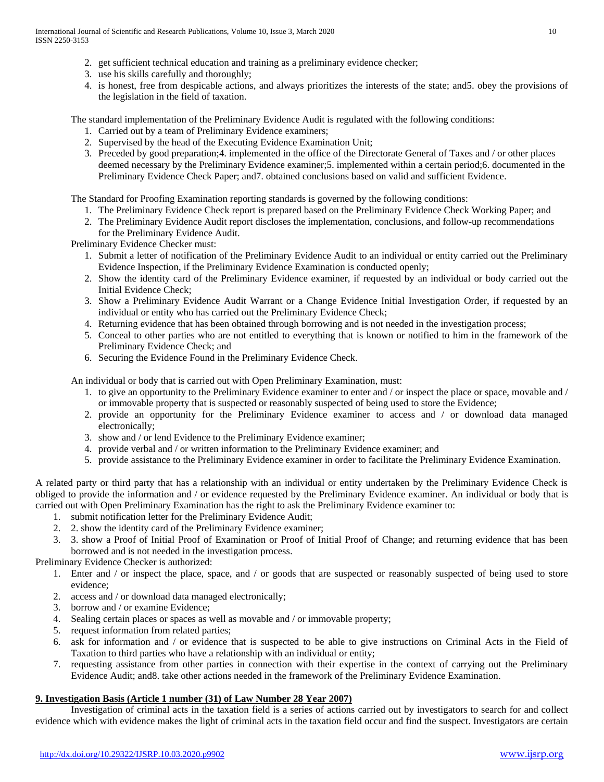- 2. get sufficient technical education and training as a preliminary evidence checker;
- 3. use his skills carefully and thoroughly;
- 4. is honest, free from despicable actions, and always prioritizes the interests of the state; and5. obey the provisions of the legislation in the field of taxation.

The standard implementation of the Preliminary Evidence Audit is regulated with the following conditions:

- 1. Carried out by a team of Preliminary Evidence examiners;
- 2. Supervised by the head of the Executing Evidence Examination Unit;
- 3. Preceded by good preparation;4. implemented in the office of the Directorate General of Taxes and / or other places deemed necessary by the Preliminary Evidence examiner;5. implemented within a certain period;6. documented in the Preliminary Evidence Check Paper; and7. obtained conclusions based on valid and sufficient Evidence.

The Standard for Proofing Examination reporting standards is governed by the following conditions:

- 1. The Preliminary Evidence Check report is prepared based on the Preliminary Evidence Check Working Paper; and
- 2. The Preliminary Evidence Audit report discloses the implementation, conclusions, and follow-up recommendations for the Preliminary Evidence Audit.

Preliminary Evidence Checker must:

- 1. Submit a letter of notification of the Preliminary Evidence Audit to an individual or entity carried out the Preliminary Evidence Inspection, if the Preliminary Evidence Examination is conducted openly;
- 2. Show the identity card of the Preliminary Evidence examiner, if requested by an individual or body carried out the Initial Evidence Check;
- 3. Show a Preliminary Evidence Audit Warrant or a Change Evidence Initial Investigation Order, if requested by an individual or entity who has carried out the Preliminary Evidence Check;
- 4. Returning evidence that has been obtained through borrowing and is not needed in the investigation process;
- 5. Conceal to other parties who are not entitled to everything that is known or notified to him in the framework of the Preliminary Evidence Check; and
- 6. Securing the Evidence Found in the Preliminary Evidence Check.

An individual or body that is carried out with Open Preliminary Examination, must:

- 1. to give an opportunity to the Preliminary Evidence examiner to enter and / or inspect the place or space, movable and / or immovable property that is suspected or reasonably suspected of being used to store the Evidence;
- 2. provide an opportunity for the Preliminary Evidence examiner to access and / or download data managed electronically;
- 3. show and / or lend Evidence to the Preliminary Evidence examiner;
- 4. provide verbal and / or written information to the Preliminary Evidence examiner; and
- 5. provide assistance to the Preliminary Evidence examiner in order to facilitate the Preliminary Evidence Examination.

A related party or third party that has a relationship with an individual or entity undertaken by the Preliminary Evidence Check is obliged to provide the information and / or evidence requested by the Preliminary Evidence examiner. An individual or body that is carried out with Open Preliminary Examination has the right to ask the Preliminary Evidence examiner to:

- 1. submit notification letter for the Preliminary Evidence Audit;
- 2. 2. show the identity card of the Preliminary Evidence examiner;
- 3. 3. show a Proof of Initial Proof of Examination or Proof of Initial Proof of Change; and returning evidence that has been borrowed and is not needed in the investigation process.

Preliminary Evidence Checker is authorized:

- 1. Enter and / or inspect the place, space, and / or goods that are suspected or reasonably suspected of being used to store evidence;
- 2. access and / or download data managed electronically;
- 3. borrow and / or examine Evidence;
- 4. Sealing certain places or spaces as well as movable and / or immovable property;
- 5. request information from related parties;
- 6. ask for information and / or evidence that is suspected to be able to give instructions on Criminal Acts in the Field of Taxation to third parties who have a relationship with an individual or entity;
- 7. requesting assistance from other parties in connection with their expertise in the context of carrying out the Preliminary Evidence Audit; and8. take other actions needed in the framework of the Preliminary Evidence Examination.

#### **9. Investigation Basis (Article 1 number (31) of Law Number 28 Year 2007)**

Investigation of criminal acts in the taxation field is a series of actions carried out by investigators to search for and collect evidence which with evidence makes the light of criminal acts in the taxation field occur and find the suspect. Investigators are certain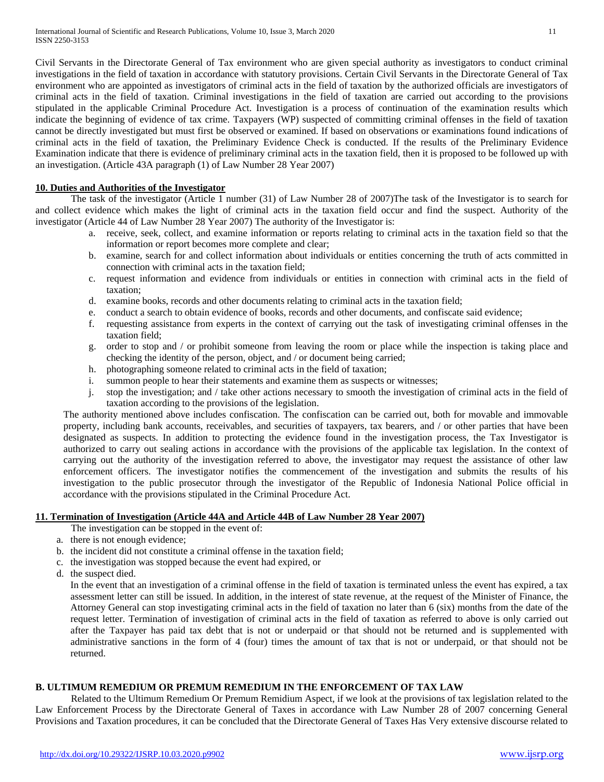Civil Servants in the Directorate General of Tax environment who are given special authority as investigators to conduct criminal investigations in the field of taxation in accordance with statutory provisions. Certain Civil Servants in the Directorate General of Tax environment who are appointed as investigators of criminal acts in the field of taxation by the authorized officials are investigators of criminal acts in the field of taxation. Criminal investigations in the field of taxation are carried out according to the provisions stipulated in the applicable Criminal Procedure Act. Investigation is a process of continuation of the examination results which indicate the beginning of evidence of tax crime. Taxpayers (WP) suspected of committing criminal offenses in the field of taxation cannot be directly investigated but must first be observed or examined. If based on observations or examinations found indications of criminal acts in the field of taxation, the Preliminary Evidence Check is conducted. If the results of the Preliminary Evidence Examination indicate that there is evidence of preliminary criminal acts in the taxation field, then it is proposed to be followed up with an investigation. (Article 43A paragraph (1) of Law Number 28 Year 2007)

#### **10. Duties and Authorities of the Investigator**

The task of the investigator (Article 1 number (31) of Law Number 28 of 2007)The task of the Investigator is to search for and collect evidence which makes the light of criminal acts in the taxation field occur and find the suspect. Authority of the investigator (Article 44 of Law Number 28 Year 2007) The authority of the Investigator is:

- a. receive, seek, collect, and examine information or reports relating to criminal acts in the taxation field so that the information or report becomes more complete and clear;
- b. examine, search for and collect information about individuals or entities concerning the truth of acts committed in connection with criminal acts in the taxation field;
- c. request information and evidence from individuals or entities in connection with criminal acts in the field of taxation;
- d. examine books, records and other documents relating to criminal acts in the taxation field;
- e. conduct a search to obtain evidence of books, records and other documents, and confiscate said evidence;
- f. requesting assistance from experts in the context of carrying out the task of investigating criminal offenses in the taxation field;
- g. order to stop and / or prohibit someone from leaving the room or place while the inspection is taking place and checking the identity of the person, object, and / or document being carried;
- h. photographing someone related to criminal acts in the field of taxation;
- i. summon people to hear their statements and examine them as suspects or witnesses;
- j. stop the investigation; and / take other actions necessary to smooth the investigation of criminal acts in the field of taxation according to the provisions of the legislation.

The authority mentioned above includes confiscation. The confiscation can be carried out, both for movable and immovable property, including bank accounts, receivables, and securities of taxpayers, tax bearers, and / or other parties that have been designated as suspects. In addition to protecting the evidence found in the investigation process, the Tax Investigator is authorized to carry out sealing actions in accordance with the provisions of the applicable tax legislation. In the context of carrying out the authority of the investigation referred to above, the investigator may request the assistance of other law enforcement officers. The investigator notifies the commencement of the investigation and submits the results of his investigation to the public prosecutor through the investigator of the Republic of Indonesia National Police official in accordance with the provisions stipulated in the Criminal Procedure Act.

#### **11. Termination of Investigation (Article 44A and Article 44B of Law Number 28 Year 2007)**

The investigation can be stopped in the event of:

- a. there is not enough evidence;
- b. the incident did not constitute a criminal offense in the taxation field;
- c. the investigation was stopped because the event had expired, or
- d. the suspect died.

In the event that an investigation of a criminal offense in the field of taxation is terminated unless the event has expired, a tax assessment letter can still be issued. In addition, in the interest of state revenue, at the request of the Minister of Finance, the Attorney General can stop investigating criminal acts in the field of taxation no later than 6 (six) months from the date of the request letter. Termination of investigation of criminal acts in the field of taxation as referred to above is only carried out after the Taxpayer has paid tax debt that is not or underpaid or that should not be returned and is supplemented with administrative sanctions in the form of 4 (four) times the amount of tax that is not or underpaid, or that should not be returned.

# **B. ULTIMUM REMEDIUM OR PREMUM REMEDIUM IN THE ENFORCEMENT OF TAX LAW**

Related to the Ultimum Remedium Or Premum Remidium Aspect, if we look at the provisions of tax legislation related to the Law Enforcement Process by the Directorate General of Taxes in accordance with Law Number 28 of 2007 concerning General Provisions and Taxation procedures, it can be concluded that the Directorate General of Taxes Has Very extensive discourse related to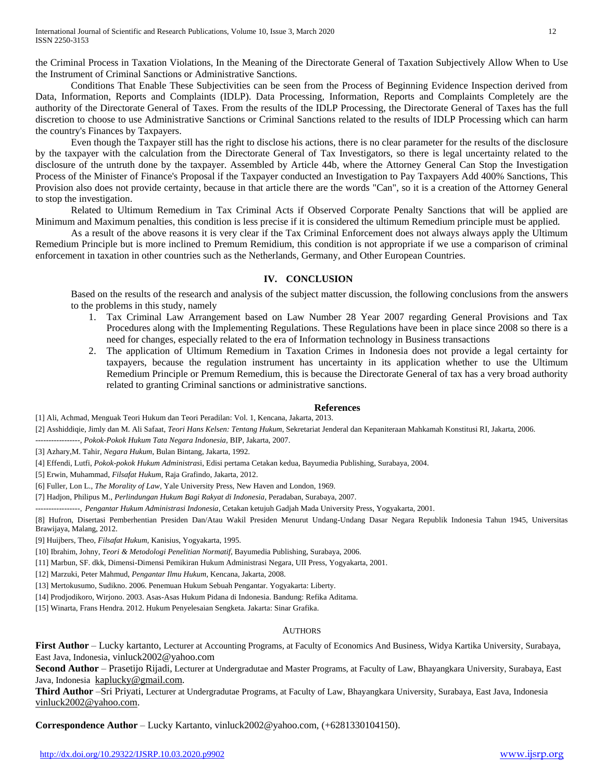the Criminal Process in Taxation Violations, In the Meaning of the Directorate General of Taxation Subjectively Allow When to Use the Instrument of Criminal Sanctions or Administrative Sanctions.

Conditions That Enable These Subjectivities can be seen from the Process of Beginning Evidence Inspection derived from Data, Information, Reports and Complaints (IDLP). Data Processing, Information, Reports and Complaints Completely are the authority of the Directorate General of Taxes. From the results of the IDLP Processing, the Directorate General of Taxes has the full discretion to choose to use Administrative Sanctions or Criminal Sanctions related to the results of IDLP Processing which can harm the country's Finances by Taxpayers.

Even though the Taxpayer still has the right to disclose his actions, there is no clear parameter for the results of the disclosure by the taxpayer with the calculation from the Directorate General of Tax Investigators, so there is legal uncertainty related to the disclosure of the untruth done by the taxpayer. Assembled by Article 44b, where the Attorney General Can Stop the Investigation Process of the Minister of Finance's Proposal if the Taxpayer conducted an Investigation to Pay Taxpayers Add 400% Sanctions, This Provision also does not provide certainty, because in that article there are the words "Can", so it is a creation of the Attorney General to stop the investigation.

Related to Ultimum Remedium in Tax Criminal Acts if Observed Corporate Penalty Sanctions that will be applied are Minimum and Maximum penalties, this condition is less precise if it is considered the ultimum Remedium principle must be applied.

As a result of the above reasons it is very clear if the Tax Criminal Enforcement does not always always apply the Ultimum Remedium Principle but is more inclined to Premum Remidium, this condition is not appropriate if we use a comparison of criminal enforcement in taxation in other countries such as the Netherlands, Germany, and Other European Countries.

#### **IV. CONCLUSION**

Based on the results of the research and analysis of the subject matter discussion, the following conclusions from the answers to the problems in this study, namely

- 1. Tax Criminal Law Arrangement based on Law Number 28 Year 2007 regarding General Provisions and Tax Procedures along with the Implementing Regulations. These Regulations have been in place since 2008 so there is a need for changes, especially related to the era of Information technology in Business transactions
- 2. The application of Ultimum Remedium in Taxation Crimes in Indonesia does not provide a legal certainty for taxpayers, because the regulation instrument has uncertainty in its application whether to use the Ultimum Remedium Principle or Premum Remedium, this is because the Directorate General of tax has a very broad authority related to granting Criminal sanctions or administrative sanctions.

#### **References**

[1] Ali, Achmad, Menguak Teori Hukum dan Teori Peradilan: Vol. 1, Kencana, Jakarta, 2013.

[2] Asshiddiqie, Jimly dan M. Ali Safaat, *Teori Hans Kelsen: Tentang Hukum*, Sekretariat Jenderal dan Kepaniteraan Mahkamah Konstitusi RI, Jakarta, 2006.

-----------------, *Pokok-Pokok Hukum Tata Negara Indonesia*, BIP, Jakarta, 2007.

[3] Azhary,M. Tahir, *Negara Hukum*, Bulan Bintang, Jakarta, 1992.

[4] Effendi, Lutfi, *Pokok-pokok Hukum Administras*i, Edisi pertama Cetakan kedua, Bayumedia Publishing, Surabaya, 2004.

[5] Erwin, Muhammad, *Filsafat Hukum*, Raja Grafindo, Jakarta, 2012.

[6] Fuller, Lon L., *The Morality of Law,* Yale University Press, New Haven and London, 1969.

[7] Hadjon, Philipus M., *Perlindungan Hukum Bagi Rakyat di Indonesia,* Peradaban, Surabaya, 2007.

-----------------, *Pengantar Hukum Administrasi Indonesia*, Cetakan ketujuh Gadjah Mada University Press, Yogyakarta, 2001.

[8] Hufron, Disertasi Pemberhentian Presiden Dan/Atau Wakil Presiden Menurut Undang-Undang Dasar Negara Republik Indonesia Tahun 1945, Universitas Brawijaya, Malang, 2012.

[9] Huijbers, Theo, *Filsafat Hukum,* Kanisius, Yogyakarta, 1995.

[10] Ibrahim, Johny, *Teori & Metodologi Penelitian Normatif*, Bayumedia Publishing, Surabaya, 2006.

[11] Marbun, SF. dkk, Dimensi-Dimensi Pemikiran Hukum Administrasi Negara, UII Press, Yogyakarta, 2001.

[12] Marzuki, Peter Mahmud, *Pengantar Ilmu Hukum*, Kencana, Jakarta, 2008.

[13] Mertokusumo, Sudikno. 2006. Penemuan Hukum Sebuah Pengantar. Yogyakarta: Liberty.

[14] Prodjodikoro, Wirjono. 2003. Asas-Asas Hukum Pidana di Indonesia. Bandung: Refika Aditama.

[15] Winarta, Frans Hendra. 2012. Hukum Penyelesaian Sengketa. Jakarta: Sinar Grafika.

#### AUTHORS

First Author – Lucky kartanto, Lecturer at Accounting Programs, at Faculty of Economics And Business, Widya Kartika University, Surabaya, East Java, Indonesia, vinluck2002@yahoo.com

**Second Author** – Prasetijo Rijadi, Lecturer at Undergradutae and Master Programs, at Faculty of Law, Bhayangkara University, Surabaya, East Java, Indonesia [kaplucky@gmail.com.](mailto:kaplucky@gmail.com)

**Third Author** –Sri Priyati, Lecturer at Undergradutae Programs, at Faculty of Law, Bhayangkara University, Surabaya, East Java, Indonesia [vinluck2002@yahoo.com.](mailto:vinluck2002@yahoo.com)

**Correspondence Author** – Lucky Kartanto, vinluck2002@yahoo.com, (+6281330104150).